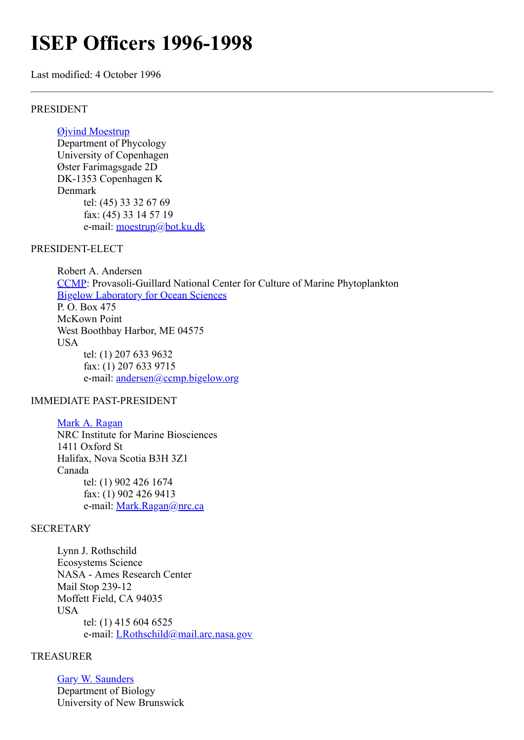# **ISEP Officers 1996-1998**

Last modified: 4 October 1996

#### PRESIDENT

## [Øjvind Moestrup](http://www.bot.ku.dk/staff/moestrup.htm)

Department of Phycology University of Copenhagen Øster Farimagsgade 2D DK-1353 Copenhagen K Denmark tel: (45) 33 32 67 69 fax: (45) 33 14 57 19 e-mail: [moestrup@bot.ku.dk](mailto:moestrup@bot.ku.dk)

#### PRESIDENT-ELECT

Robert A. Andersen [CCMP](http://ccmp.bigelow.org/): Provasoli-Guillard National Center for Culture of Marine Phytoplankton [Bigelow Laboratory for Ocean Sciences](http://www.bigelow.org/) P. O. Box 475 McKown Point West Boothbay Harbor, ME 04575 USA tel: (1) 207 633 9632 fax: (1) 207 633 9715 e-mail: [andersen@ccmp.bigelow.org](mailto:andersen@ccmp.bigelow.org)

## IMMEDIATE PAST-PRESIDENT

[Mark A. Ragan](http://megasun.bch.umontreal.ca/People/ragan) NRC Institute for Marine Biosciences 1411 Oxford St Halifax, Nova Scotia B3H 3Z1 Canada tel: (1) 902 426 1674 fax: (1) 902 426 9413 e-mail: [Mark.Ragan@nrc.ca](mailto:Mark.Ragan@nrca)

## **SECRETARY**

Lynn J. Rothschild Ecosystems Science NASA - Ames Research Center Mail Stop 239-12 Moffett Field, CA 94035 **USA** tel: (1) 415 604 6525 e-mail: [LRothschild@mail.arc.nasa.gov](http://megasun.bch.umontreal.ca/isep/LRothschild@mail.arc.nasa.gov)

#### TREASURER

[Gary W. Saunders](http://www.unb.ca/web/biology/Faculty/Saunders.html) Department of Biology University of New Brunswick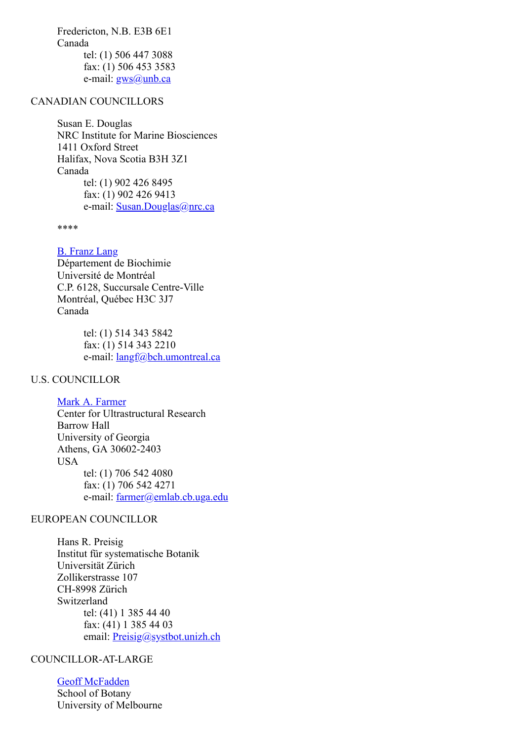Fredericton, N.B. E3B 6E1 Canada tel: (1) 506 447 3088 fax: (1) 506 453 3583 e-mail:  $gws(a)$ unb.ca

## CANADIAN COUNCILLORS

Susan E. Douglas NRC Institute for Marine Biosciences 1411 Oxford Street Halifax, Nova Scotia B3H 3Z1 Canada tel: (1) 902 426 8495 fax: (1) 902 426 9413 e-mail: [Susan.Douglas@nrc.ca](mailto:Susan.Douglas@nrc.ca)

\*\*\*\*

### [B. Franz Lang](http://megasun.bch.umontreal.ca/People/lang/)

Département de Biochimie Université de Montréal C.P. 6128, Succursale Centre-Ville Montréal, Québec H3C 3J7 Canada

> tel: (1) 514 343 5842 fax: (1) 514 343 2210 e-mail: <u>[langf@bch.umontreal.ca](mailto:langf@bch.umontreal.ca)</u>

## U.S. COUNCILLOR

[Mark A. Farmer](http://www.uga.edu/~cellbio/faculty.html#Farmer)

Center for Ultrastructural Research Barrow Hall University of Georgia Athens, GA 30602-2403 USA tel: (1) 706 542 4080 fax: (1) 706 542 4271 e-mail: [farmer@emlab.cb.uga.edu](mailto:farmer@emlab.cb.uga.edu)

#### EUROPEAN COUNCILLOR

Hans R. Preisig Institut für systematische Botanik Universität Zürich Zollikerstrasse 107 CH-8998 Zürich Switzerland tel: (41) 1 385 44 40 fax: (41) 1 385 44 03 email: [Preisig@systbot.unizh.ch](mailto:preisig@systbot.unizh.ch)

## COUNCILLOR-AT-LARGE

[Geoff McFadden](http://128.250.102.45/McFaddenLab.html) School of Botany University of Melbourne